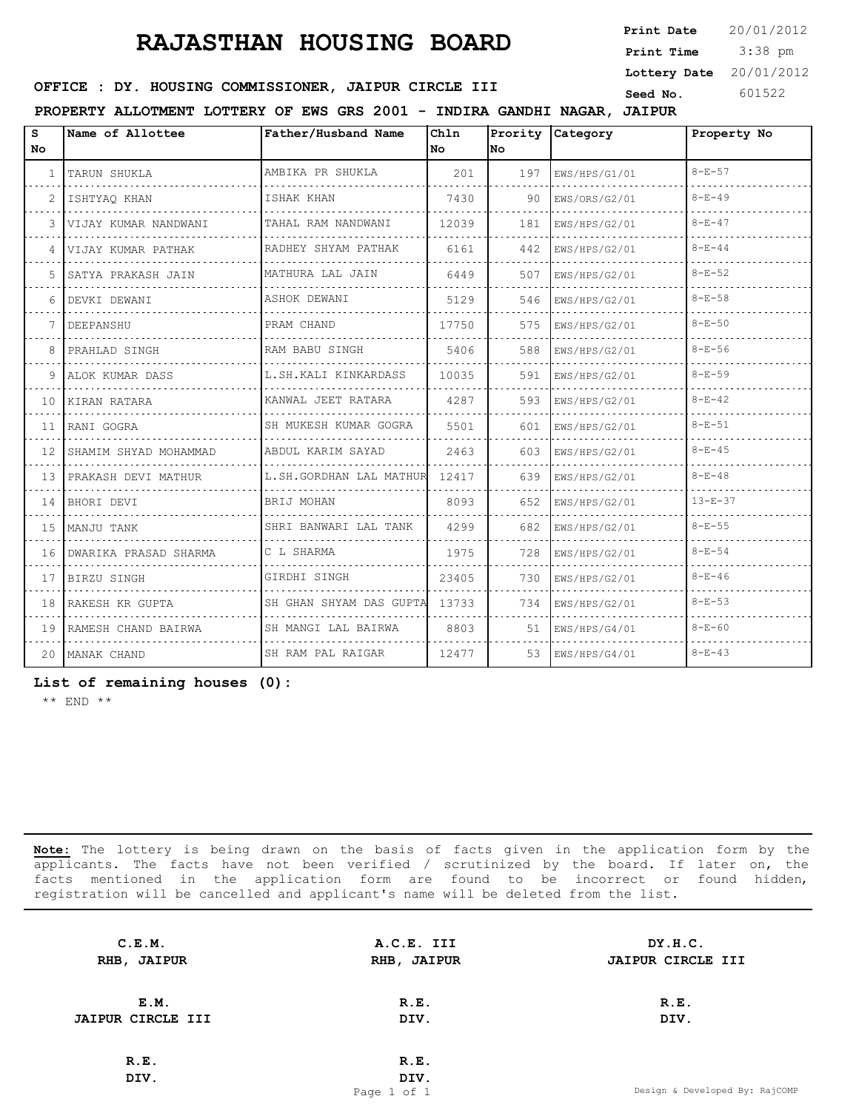3:38 pm **Print Date**  $20/01/2012$ **Print Time Lottery Date** 20/01/2012

#### **SEED OFFICE : DY. HOUSING COMMISSIONER, JAIPUR CIRCLE III** Seed No. 601522

**PROPERTY ALLOTMENT LOTTERY OF EWS GRS 2001 - INDIRA GANDHI NAGAR, JAIPUR**

| s<br>No.        | Name of Allottee         | Father/Husband Name     | Ch1n<br>No. | No  | Prority Category | Property No   |
|-----------------|--------------------------|-------------------------|-------------|-----|------------------|---------------|
| 1.              | TARUN SHUKLA             | AMBIKA PR SHUKLA        | 201         | 197 | EWS/HPS/G1/01    | $8 - E - 57$  |
|                 | ISHTYAQ KHAN             | ISHAK KHAN              | 7430        | 90  | EWS/ORS/G2/01    | $8 - E - 49$  |
| 3               | VIJAY KUMAR NANDWANI     | TAHAL RAM NANDWANI      | 12039       | 181 | EWS/HPS/G2/01    | $8 - E - 47$  |
| 4               | VIJAY KUMAR PATHAK       | RADHEY SHYAM PATHAK     | 6161        | 442 | EWS/HPS/G2/01    | $8 - E - 44$  |
| 5.              | SATYA PRAKASH JAIN       | MATHURA LAL JAIN        | 6449        | 507 | EWS/HPS/G2/01    | $8 - E - 52$  |
| 6               | DEVKI DEWANI             | ASHOK DEWANI            | 5129        | 546 | EWS/HPS/G2/01    | $8 - E - 58$  |
| 7               | DEEPANSHU                | PRAM CHAND              | 17750       | 575 | EWS/HPS/G2/01    | $8 - E - 50$  |
| 8               | PRAHLAD SINGH            | RAM BABU SINGH          | 5406        | 588 | EWS/HPS/G2/01    | $8 - E - 56$  |
|                 | 9   ALOK KUMAR DASS      | L.SH.KALI KINKARDASS    | 10035       | 591 | EWS/HPS/G2/01    | $8 - E - 59$  |
| 10 <sup>1</sup> | KIRAN RATARA             | KANWAL JEET RATARA      | 4287        | 593 | EWS/HPS/G2/01    | $8 - E - 42$  |
| 11              | RANI GOGRA               | SH MUKESH KUMAR GOGRA   | 5501        | 601 | EWS/HPS/G2/01    | $8 - E - 51$  |
| 12 <sup>1</sup> | SHAMIM SHYAD MOHAMMAD    | ABDUL KARIM SAYAD       | 2463        | 603 | EWS/HPS/G2/01    | $8 - E - 45$  |
|                 | 13   PRAKASH DEVI MATHUR | L.SH.GORDHAN LAL MATHUR | 12417       | 639 | EWS/HPS/G2/01    | $8 - F - 48$  |
| 14              | BHORI DEVI               | BRIJ MOHAN              | 8093        | 652 | EWS/HPS/G2/01    | $13 - E - 37$ |
| 15 <sub>1</sub> | MANJU TANK               | SHRI BANWARI LAL TANK   | 4299        | 682 | EWS/HPS/G2/01    | $8 - E - 55$  |
| 16              | DWARIKA PRASAD SHARMA    | C L SHARMA              | 1975        | 728 | EWS/HPS/G2/01    | $8 - E - 54$  |
| 17              | BIRZU SINGH              | GIRDHI SINGH            | 23405       | 730 | EWS/HPS/G2/01    | $8 - E - 46$  |
| 18              | RAKESH KR GUPTA          | SH GHAN SHYAM DAS GUPTA | 13733       | 734 | EWS/HPS/G2/01    | $8 - E - 53$  |
| 19              | RAMESH CHAND BAIRWA      | SH MANGI LAL BAIRWA     | 8803        | 51  | EWS/HPS/G4/01    | $8 - E - 60$  |
|                 | 20 MANAK CHAND           | SH RAM PAL RAIGAR       | 12477       | 53  | EWS/HPS/G4/01    | $8 - E - 43$  |

**List of remaining houses (0):** 

\*\* END \*\*

| C.E.M.<br>RHB, JAIPUR    | A.C.E. III<br>RHB, JAIPUR | DY.H.C.<br>JAIPUR CIRCLE III   |
|--------------------------|---------------------------|--------------------------------|
| E.M.                     | R.E.                      | R.E.                           |
|                          |                           |                                |
| <b>JAIPUR CIRCLE III</b> | DIV.                      | DIV.                           |
|                          |                           |                                |
| R.E.                     | R.E.                      |                                |
| DIV.                     | DIV.                      |                                |
|                          | Page 1 of 1               | Design & Developed By: RajCOMP |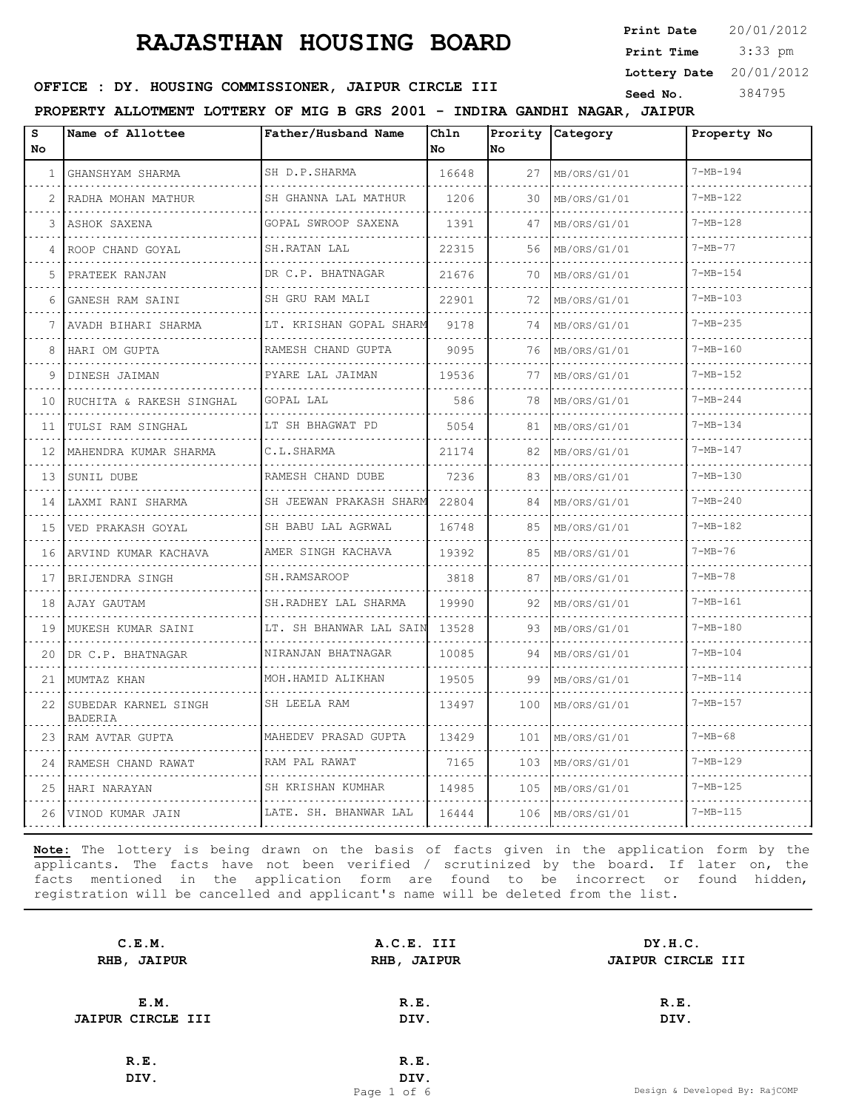3:33 pm **Print Date**  $20/01/2012$ **Print Time Lottery Date** 20/01/2012

### **SEED OFFICE : DY. HOUSING COMMISSIONER, JAIPUR CIRCLE III** Seed No. 384795

**PROPERTY ALLOTMENT LOTTERY OF MIG B GRS 2001 - INDIRA GANDHI NAGAR, JAIPUR**

| S<br>No       | Name of Allottee                       | Father/Husband Name            | Chln<br>No | Prority<br>No | Category     | Property No    |
|---------------|----------------------------------------|--------------------------------|------------|---------------|--------------|----------------|
| 1             | GHANSHYAM SHARMA                       | SH D.P.SHARMA<br>.             | 16648      | 27            | MB/ORS/G1/01 | $7 - MB - 194$ |
| $\mathcal{L}$ | RADHA MOHAN MATHUR                     | SH GHANNA LAL MATHUR           | 1206       | 30            | MB/ORS/G1/01 | $7 - MB - 122$ |
| 3             | ASHOK SAXENA                           | GOPAL SWROOP SAXENA            | 1391       | 47            | MB/ORS/G1/01 | $7 - MB - 128$ |
| 4             | ROOP CHAND GOYAL                       | SH.RATAN LAL<br>.              | 22315      | 56            | MB/ORS/G1/01 | $7 - MB - 77$  |
| 5             | PRATEEK RANJAN                         | DR C.P. BHATNAGAR<br><u>.</u>  | 21676      | 70            | MB/ORS/G1/01 | $7 - MB - 154$ |
| 6             | GANESH RAM SAINI                       | SH GRU RAM MALI                | 22901      | 72            | MB/ORS/G1/01 | $7 - MB - 103$ |
|               | AVADH BIHARI SHARMA                    | LT. KRISHAN GOPAL SHARM        | 9178       | 74            | MB/ORS/G1/01 | $7 - MB - 235$ |
| 8             | HARI OM GUPTA                          | RAMESH CHAND GUPTA<br><u>.</u> | 9095       | 76            | MB/ORS/G1/01 | $7 - MB - 160$ |
| 9             | DINESH JAIMAN                          | PYARE LAL JAIMAN               | 19536      | 77            | MB/ORS/G1/01 | $7 - MB - 152$ |
| 10            | RUCHITA & RAKESH SINGHAL               | GOPAL LAL                      | 586        | 78            | MB/ORS/G1/01 | $7 - MB - 244$ |
| 11            | TULSI RAM SINGHAL                      | LT SH BHAGWAT PD               | 5054       | 81            | MB/ORS/G1/01 | $7 - MB - 134$ |
| 12            | MAHENDRA KUMAR SHARMA                  | C.L.SHARMA                     | 21174      | 82            | MB/ORS/G1/01 | $7 - MB - 147$ |
| 13            | SUNIL DUBE                             | RAMESH CHAND DUBE<br>.         | 7236       | 83            | MB/ORS/G1/01 | $7 - MB - 130$ |
| 14            | LAXMI RANI SHARMA                      | SH JEEWAN PRAKASH SHARM        | 22804      | 84            | MB/ORS/G1/01 | $7 - MB - 240$ |
| 15            | VED PRAKASH GOYAL                      | SH BABU LAL AGRWAL             | 16748      | 85            | MB/ORS/G1/01 | $7 - MB - 182$ |
| 16            | ARVIND KUMAR KACHAVA                   | AMER SINGH KACHAVA             | 19392      | 85            | MB/ORS/G1/01 | $7 - MB - 76$  |
| 17            | BRIJENDRA SINGH                        | SH.RAMSAROOP                   | 3818       | 87            | MB/ORS/G1/01 | $7 - MB - 78$  |
| 18            | AJAY GAUTAM                            | SH.RADHEY LAL SHARMA           | 19990      | 92            | MB/ORS/G1/01 | $7 - MB - 161$ |
| 19            | MUKESH KUMAR SAINI                     | LT. SH BHANWAR LAL SAIN        | 13528      | 93            | MB/ORS/G1/01 | $7 - MB - 180$ |
| 20            | DR C.P. BHATNAGAR                      | NIRANJAN BHATNAGAR             | 10085      | 94            | MB/ORS/G1/01 | $7 - MB - 104$ |
| 21            | MUMTAZ KHAN                            | MOH.HAMID ALIKHAN              | 19505      | 99            | MB/ORS/G1/01 | $7 - MB - 114$ |
| 22            | SUBEDAR KARNEL SINGH<br><b>BADERIA</b> | SH LEELA RAM                   | 13497      | 100           | MB/ORS/G1/01 | $7 - MB - 157$ |
| 23            | RAM AVTAR GUPTA                        | MAHEDEV PRASAD GUPTA           | 13429      | 101           | MB/ORS/G1/01 | $7 - MB - 68$  |
| 24            | RAMESH CHAND RAWAT                     | RAM PAL RAWAT                  | 7165       | 103           | MB/ORS/G1/01 | $7 - MB - 129$ |
| 25            | HARI NARAYAN                           | SH KRISHAN KUMHAR              | 14985      | 105           | MB/ORS/G1/01 | $7 - MB - 125$ |
| 26            | VINOD KUMAR JAIN                       | LATE. SH. BHANWAR LAL          | 16444      | 106           | MB/ORS/G1/01 | $7 - MB - 115$ |

| C.E.M.<br>RHB, JAIPUR    | A.C.E. III<br>RHB, JAIPUR | DY.H.C.<br>JAIPUR CIRCLE III |
|--------------------------|---------------------------|------------------------------|
| E.M.                     | R.E.                      | R.E.                         |
| <b>JAIPUR CIRCLE III</b> | DIV.                      | DIV.                         |
| R.E.                     | R.E.                      |                              |
| DIV.                     | DIV.                      |                              |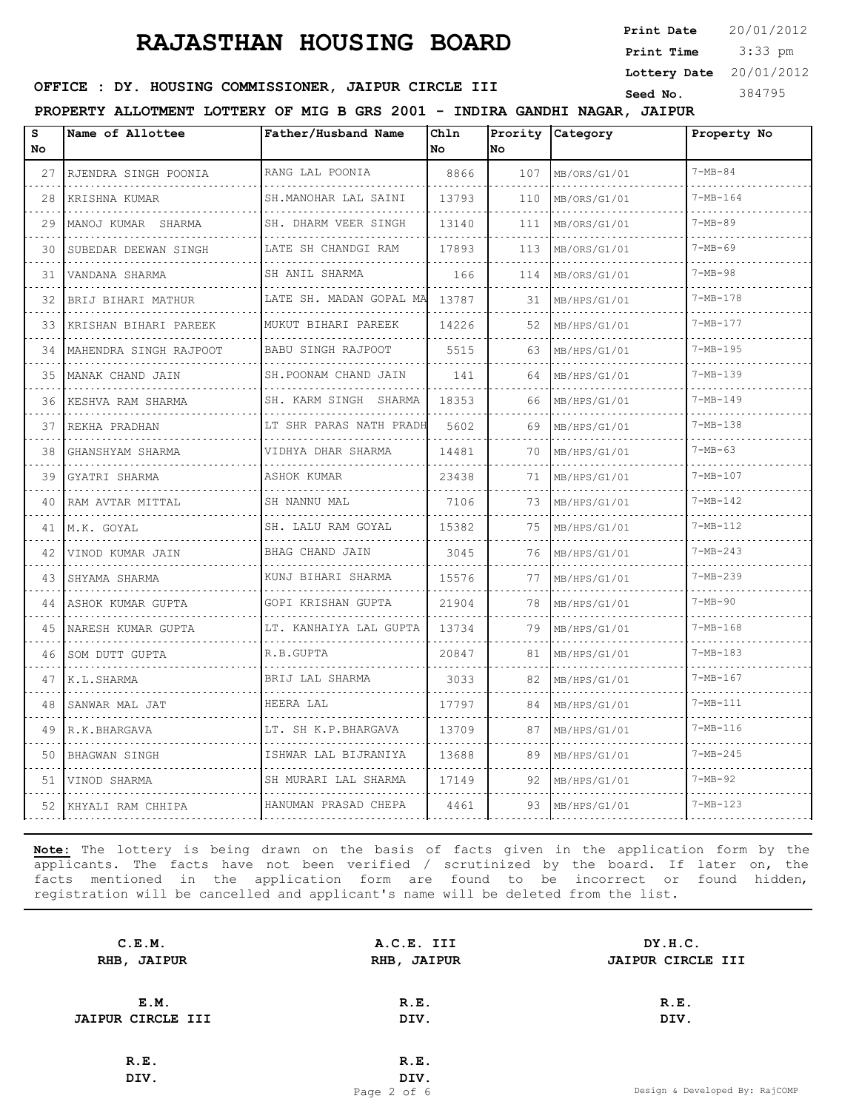3:33 pm **Print Date**  $20/01/2012$ **Print Time Lottery Date** 20/01/2012

### **SEED AND SEED III SEED ASSESSED ASSESSED AT A LOCAL COMMISSIONER, JAIPUR CIRCLE III** Seed No. 384795

**PROPERTY ALLOTMENT LOTTERY OF MIG B GRS 2001 - INDIRA GANDHI NAGAR, JAIPUR**

| s<br>No | Name of Allottee          | Father/Husband Name          | Chln<br>No. | <b>No</b> | Prority Category | Property No    |
|---------|---------------------------|------------------------------|-------------|-----------|------------------|----------------|
| 27      | RJENDRA SINGH POONIA      | RANG LAL POONIA              | 8866        | 107       | MB/ORS/G1/01     | $7 - MB - 84$  |
| 28      | KRISHNA KUMAR             | SH. MANOHAR LAL SAINI        | 13793       | 110       | MB/ORS/G1/01     | $7 - MB - 164$ |
| 29      | MANOJ KUMAR SHARMA        | SH. DHARM VEER SINGH         | 13140       | 111       | MB/ORS/G1/01     | $7 - MP - 89$  |
| 30      | SUBEDAR DEEWAN SINGH      | LATE SH CHANDGI RAM          | 17893       | 113       | MB/ORS/G1/01     | $7 - MB - 69$  |
| 31      | VANDANA SHARMA            | SH ANIL SHARMA               | 166         | 114       | MB/ORS/G1/01     | $7 - MB - 98$  |
| 32      | BRIJ BIHARI MATHUR        | LATE SH. MADAN GOPAL MA<br>. | 13787       | 31        | MB/HPS/G1/01     | $7 - MB - 178$ |
| 33      | KRISHAN BIHARI PAREEK     | MUKUT BIHARI PAREEK          | 14226       | 52        | MB/HPS/G1/01     | $7 - MB - 177$ |
| 34      | MAHENDRA SINGH RAJPOOT    | BABU SINGH RAJPOOT           | 5515        | 63        | MB/HPS/G1/01     | $7 - MB - 195$ |
| 35      | MANAK CHAND JAIN          | SH. POONAM CHAND JAIN        | 141         | 64        | MB/HPS/G1/01     | $7 - MB - 139$ |
| 36      | KESHVA RAM SHARMA         | SH. KARM SINGH SHARMA        | 18353       | 66.       | MB/HPS/G1/01     | $7 - MB - 149$ |
| 37      | REKHA PRADHAN             | LT SHR PARAS NATH PRADH      | 5602        | 69        | MB/HPS/G1/01     | $7 - MB - 138$ |
| 38      | GHANSHYAM SHARMA          | VIDHYA DHAR SHARMA           | 14481       | 70        | MB/HPS/G1/01     | $7 - MB - 63$  |
| 39      | GYATRI SHARMA<br><u>.</u> | ASHOK KUMAR                  | 23438       | 71        | MB/HPS/G1/01     | $7 - MB - 107$ |
| 40      | RAM AVTAR MITTAL          | SH NANNU MAL                 | 7106        | 73        | MB/HPS/G1/01     | $7 - MB - 142$ |
| 41      | M.K. GOYAL                | SH. LALU RAM GOYAL           | 15382       | 75        | MB/HPS/G1/01     | $7 - MB - 112$ |
| 42      | VINOD KUMAR JAIN          | BHAG CHAND JAIN              | 3045        | 76        | MB/HPS/G1/01     | $7 - MB - 243$ |
| 43      | SHYAMA SHARMA             | KUNJ BIHARI SHARMA<br>.      | 15576       | 77        | MB/HPS/G1/01     | $7 - MB - 239$ |
| 44      | ASHOK KUMAR GUPTA         | GOPI KRISHAN GUPTA           | 21904       | 78        | MB/HPS/G1/01     | $7 - MB - 90$  |
| 4.5     | NARESH KUMAR GUPTA        | LT. KANHAIYA LAL GUPTA       | 13734       | 79        | MB/HPS/G1/01     | $7 - MB - 168$ |
| 46      | SOM DUTT GUPTA            | R.B.GUPTA                    | 20847       | 81        | MB/HPS/G1/01     | $7 - MB - 183$ |
| 47      | K.L.SHARMA                | BRIJ LAL SHARMA              | 3033        | 82        | MB/HPS/G1/01     | $7 - MB - 167$ |
| 48      | SANWAR MAL JAT            | HEERA LAL                    | 17797       | 84        | MB/HPS/G1/01     | $7 - MB - 111$ |
| 49      | R.K.BHARGAVA              | LT. SH K.P.BHARGAVA          | 13709       | 87        | MB/HPS/G1/01     | $7 - MB - 116$ |
| 50      | <b>BHAGWAN SINGH</b>      | ISHWAR LAL BIJRANIYA         | 13688       | 89        | MB/HPS/G1/01     | $7 - MB - 245$ |
| 51      | VINOD SHARMA              | SH MURARI LAL SHARMA         | 17149       | 92        | MB/HPS/G1/01     | $7 - MB - 92$  |
| 52      | KHYALI RAM CHHIPA         | HANUMAN PRASAD CHEPA         | 4461        | 93        | MB/HPS/G1/01     | $7-MB-123$     |

| C.E.M.<br>RHB, JAIPUR    | A.C.E. III<br>RHB, JAIPUR | DY.H.C.<br>JAIPUR CIRCLE III |
|--------------------------|---------------------------|------------------------------|
| E.M.                     | R.E.                      | R.E.                         |
| <b>JAIPUR CIRCLE III</b> | DIV.                      | DIV.                         |
| R.E.                     | R.E.                      |                              |
|                          |                           |                              |
| DIV.                     | DIV.                      |                              |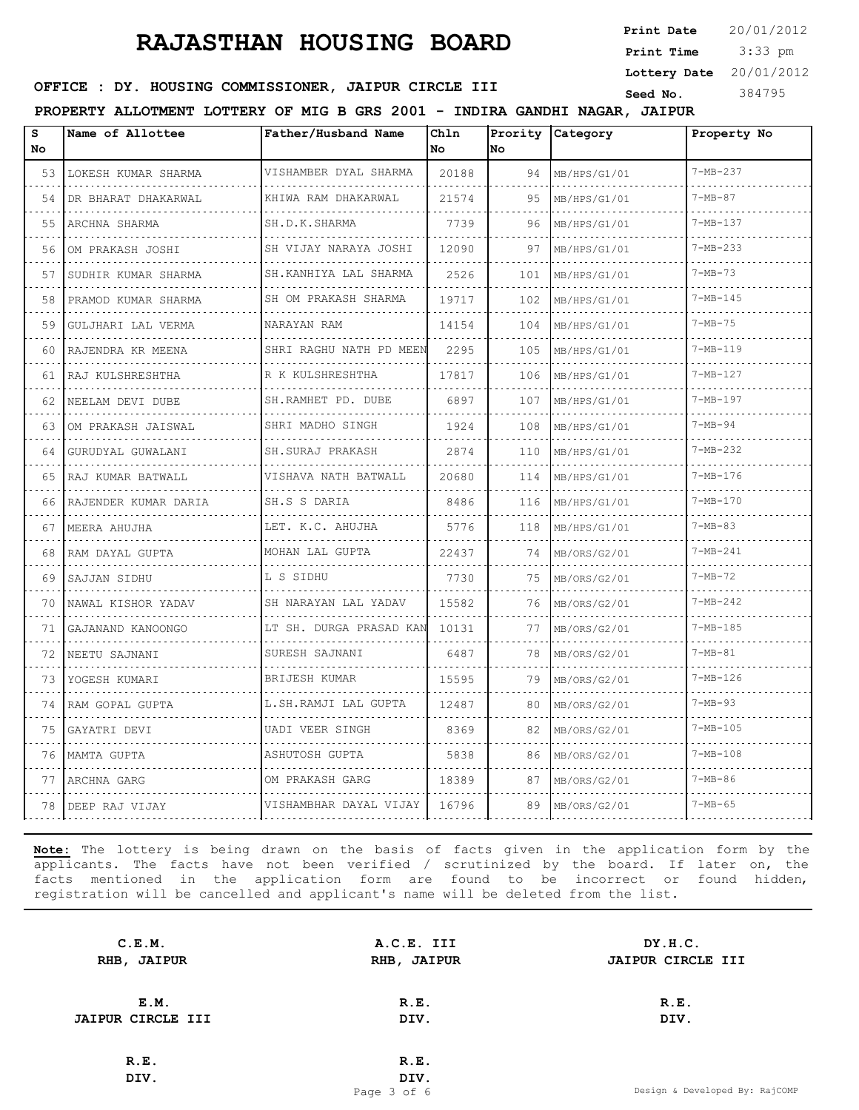3:33 pm **Print Date**  $20/01/2012$ **Print Time Lottery Date** 20/01/2012

#### **SEED AND SEED III SEED ASSESSED ASSESSED ASSESSED AT A LOCAL SEED AND SEED ASSESSED ASSESSED ASSESSED ASSESSED ASSESSED ASSESSED ASSESSED ASSESSED ASSESSED ASSESSED ASSESSED ASSESSED ASSESSED ASSESSED ASSESSED ASSESSED AS**

**PROPERTY ALLOTMENT LOTTERY OF MIG B GRS 2001 - INDIRA GANDHI NAGAR, JAIPUR**

| s<br>No | Name of Allottee        | Father/Husband Name          | Chln<br>No | Prority<br>No | Category     | Property No    |
|---------|-------------------------|------------------------------|------------|---------------|--------------|----------------|
| 53      | LOKESH KUMAR SHARMA     | VISHAMBER DYAL SHARMA        | 20188      | 94            | MB/HPS/G1/01 | $7 - MB - 237$ |
| 54      | DR BHARAT DHAKARWAL     | KHIWA RAM DHAKARWAL          | 21574      | 95            | MB/HPS/G1/01 | $7 - MB - 87$  |
| 55      | ARCHNA SHARMA           | SH.D.K.SHARMA                | 7739       | 96            | MB/HPS/G1/01 | $7 - MB - 137$ |
| 56      | OM PRAKASH JOSHI        | SH VIJAY NARAYA JOSHI        | 12090      | 97            | MB/HPS/G1/01 | $7 - MB - 233$ |
| 57      | SUDHIR KUMAR SHARMA     | SH.KANHIYA LAL SHARMA<br>.   | 2526       | 101           | MB/HPS/G1/01 | $7 - MB - 73$  |
| 58      | PRAMOD KUMAR SHARMA     | SH OM PRAKASH SHARMA         | 19717      | 102           | MB/HPS/G1/01 | $7 - MB - 145$ |
| 59      | GULJHARI LAL VERMA      | NARAYAN RAM                  | 14154      | 104           | MB/HPS/G1/01 | $7 - MB - 75$  |
| 60      | RAJENDRA KR MEENA<br>.  | SHRI RAGHU NATH PD MEEN<br>. | 2295       | 105           | MB/HPS/G1/01 | $7 - MB - 119$ |
| 61      | RAJ KULSHRESHTHA        | R K KULSHRESHTHA             | 17817      | 106           | MB/HPS/G1/01 | $7 - MB - 127$ |
| 62      | NEELAM DEVI DUBE        | SH.RAMHET PD. DUBE<br>.      | 6897       | 107           | MB/HPS/G1/01 | $7 - MB - 197$ |
| 63      | OM PRAKASH JAISWAL<br>. | SHRI MADHO SINGH<br>.        | 1924       | 108           | MB/HPS/G1/01 | $7 - MB - 94$  |
| 64      | GURUDYAL GUWALANI       | SH. SURAJ PRAKASH            | 2874       | 110           | MB/HPS/G1/01 | $7 - MB - 232$ |
| 65      | RAJ KUMAR BATWALL       | VISHAVA NATH BATWALL         | 20680      | 114           | MB/HPS/G1/01 | $7 - MB - 176$ |
| 66      | RAJENDER KUMAR DARIA    | SH.S S DARIA                 | 8486       | 116           | MB/HPS/G1/01 | $7 - MB - 170$ |
| 67      | MEERA AHUJHA            | LET. K.C. AHUJHA             | 5776       | 118           | MB/HPS/G1/01 | $7 - MB - 83$  |
| 68      | RAM DAYAL GUPTA         | MOHAN LAL GUPTA              | 22437      | 74            | MB/ORS/G2/01 | $7 - MB - 241$ |
| 69      | SAJJAN SIDHU            | L S SIDHU                    | 7730       | 75            | MB/ORS/G2/01 | $7 - MB - 72$  |
| 70      | NAWAL KISHOR YADAV      | SH NARAYAN LAL YADAV         | 15582      | 76            | MB/ORS/G2/01 | $7 - MB - 242$ |
| 71      | GAJANAND KANOONGO       | LT SH. DURGA PRASAD KAN<br>. | 10131      | 77            | MB/ORS/G2/01 | $7 - MB - 185$ |
| 72      | NEETU SAJNANI           | SURESH SAJNANI               | 6487       | 78            | MB/ORS/G2/01 | $7 - MB - 81$  |
| 73      | YOGESH KUMARI           | BRIJESH KUMAR                | 15595      | 79            | MB/ORS/G2/01 | $7 - MB - 126$ |
| 74      | RAM GOPAL GUPTA         | L.SH.RAMJI LAL GUPTA<br>.    | 12487      | 80            | MB/ORS/G2/01 | $7 - MB - 93$  |
| 75      | GAYATRI DEVI            | <b>UADI VEER SINGH</b>       | 8369       | 82            | MB/ORS/G2/01 | $7 - MB - 105$ |
| 76      | MAMTA GUPTA             | ASHUTOSH GUPTA               | 5838       | 86            | MB/ORS/G2/01 | $7 - MB - 108$ |
| 77      | ARCHNA GARG             | OM PRAKASH GARG              | 18389      | 87            | MB/ORS/G2/01 | $7 - MB - 86$  |
| 78      | DEEP RAJ VIJAY          | VISHAMBHAR DAYAL VIJAY       | 16796      | 89            | MB/ORS/G2/01 | $7 - MB - 65$  |

| C.E.M.<br>RHB, JAIPUR    | A.C.E. III<br>RHB, JAIPUR | DY.H.C.<br>JAIPUR CIRCLE III |
|--------------------------|---------------------------|------------------------------|
| E.M.                     | R.E.                      | R.E.                         |
| <b>JAIPUR CIRCLE III</b> | DIV.                      | DIV.                         |
| R.E.                     | R.E.                      |                              |
| DIV.                     | DIV.                      |                              |
|                          |                           |                              |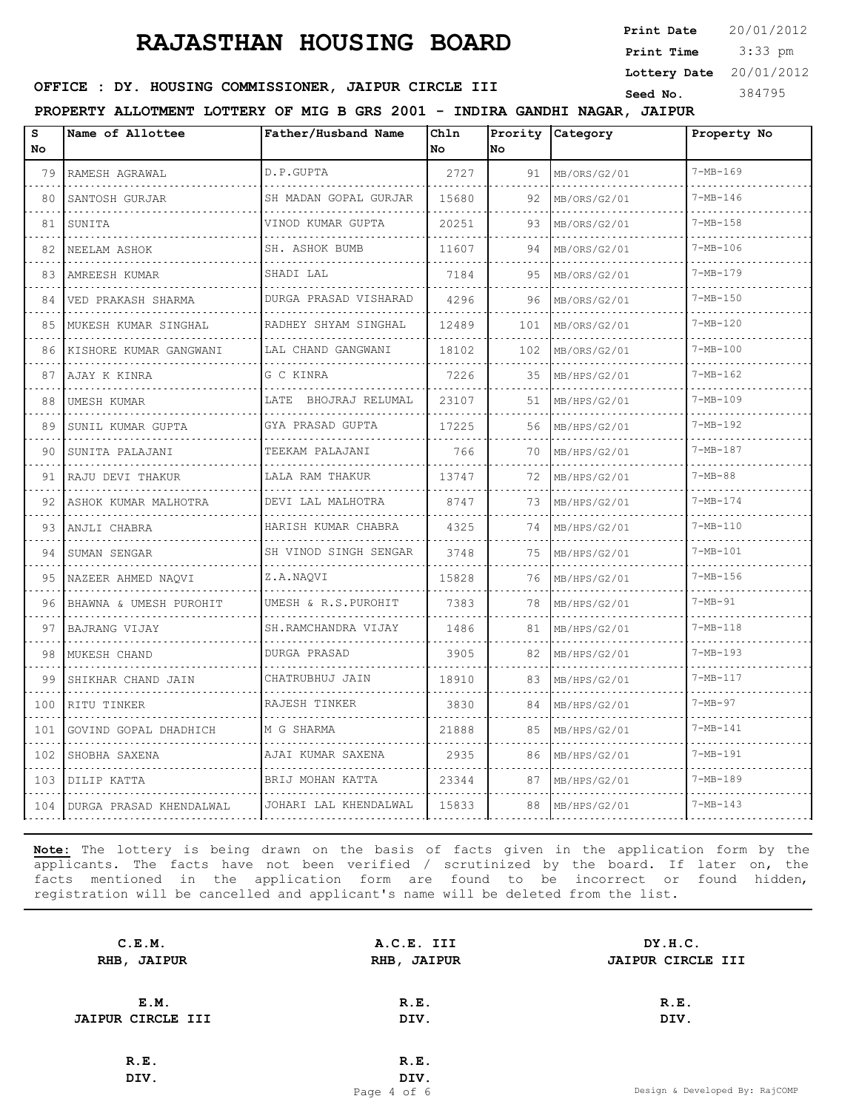3:33 pm **Print Date**  $20/01/2012$ **Print Time Lottery Date** 20/01/2012

### **SEED AND SEED III SEED ASSESSED ASSESSED AT A LOCAL COMMISSIONER, JAIPUR CIRCLE III** Seed No. 384795

**PROPERTY ALLOTMENT LOTTERY OF MIG B GRS 2001 - INDIRA GANDHI NAGAR, JAIPUR**

| s<br>No | Name of Allottee        | Father/Husband Name      | Chln<br>No | Prority<br>No | Category     | Property No    |
|---------|-------------------------|--------------------------|------------|---------------|--------------|----------------|
| 79      | RAMESH AGRAWAL<br>.     | D.P.GUPTA                | 2727       | 91            | MB/ORS/G2/01 | $7 - MB - 169$ |
| 80      | SANTOSH GURJAR          | SH MADAN GOPAL GURJAR    | 15680      | 92            | MB/ORS/G2/01 | $7 - MB - 146$ |
| 81      | SUNITA                  | VINOD KUMAR GUPTA        | 20251      | 93            | MB/ORS/G2/01 | $7 - MB - 158$ |
| 82      | NEELAM ASHOK            | SH. ASHOK BUMB           | 11607      | 94            | MB/ORS/G2/01 | $7 - MB - 106$ |
| 83      | AMREESH KUMAR           | SHADI LAL                | 7184       | 95            | MB/ORS/G2/01 | $7 - MB - 179$ |
| 84      | VED PRAKASH SHARMA      | DURGA PRASAD VISHARAD    | 4296       | 96            | MB/ORS/G2/01 | $7 - MB - 150$ |
| 85      | MUKESH KUMAR SINGHAL    | RADHEY SHYAM SINGHAL     | 12489      | 101           | MB/ORS/G2/01 | $7 - MB - 120$ |
| 86      | KISHORE KUMAR GANGWANI  | LAL CHAND GANGWANI       | 18102      | 102           | MB/ORS/G2/01 | $7 - MB - 100$ |
| 87      | AJAY K KINRA            | G C KINRA                | 7226       | 35            | MB/HPS/G2/01 | $7 - MB - 162$ |
| 88      | UMESH KUMAR             | LATE BHOJRAJ RELUMAL     | 23107      | 51            | MB/HPS/G2/01 | $7 - MB - 109$ |
| 89      | SUNIL KUMAR GUPTA       | GYA PRASAD GUPTA         | 17225      | 56            | MB/HPS/G2/01 | 7-MB-192       |
| 90      | SUNITA PALAJANI         | TEEKAM PALAJANI          | 766        | 70            | MB/HPS/G2/01 | $7 - MB - 187$ |
| 91      | RAJU DEVI THAKUR        | LALA RAM THAKUR<br>.     | 13747      | 72            | MB/HPS/G2/01 | $7 - MB - 88$  |
| 92      | ASHOK KUMAR MALHOTRA    | DEVI LAL MALHOTRA        | 8747       | 73            | MB/HPS/G2/01 | $7 - MB - 174$ |
| 93      | ANJLI CHABRA            | HARISH KUMAR CHABRA      | 4325       | 74            | MB/HPS/G2/01 | $7 - MB - 110$ |
| 94      | SUMAN SENGAR            | SH VINOD SINGH SENGAR    | 3748       | 75            | MB/HPS/G2/01 | $7 - MB - 101$ |
| 95      | NAZEER AHMED NAQVI      | Z.A.NAOVI                | 15828      | 76            | MB/HPS/G2/01 | $7 - MB - 156$ |
| 96      | BHAWNA & UMESH PUROHIT  | UMESH & R.S. PUROHIT     | 7383       | 78            | MB/HPS/G2/01 | $7 - MB - 91$  |
| 97      | BAJRANG VIJAY           | SH.RAMCHANDRA VIJAY<br>. | 1486       | 81            | MB/HPS/G2/01 | $7 - MB - 118$ |
| 98      | MUKESH CHAND            | <b>DURGA PRASAD</b>      | 3905       | 82            | MB/HPS/G2/01 | $7 - MB - 193$ |
| 99      | SHIKHAR CHAND JAIN      | CHATRUBHUJ JAIN          | 18910      | 83            | MB/HPS/G2/01 | $7 - MB - 117$ |
| 100     | RITU TINKER             | RAJESH TINKER            | 3830       | 84            | MB/HPS/G2/01 | $7 - MB - 97$  |
| 101     | GOVIND GOPAL DHADHICH   | M G SHARMA               | 21888      | 85            | MB/HPS/G2/01 | $7 - MB - 141$ |
| 102     | SHOBHA SAXENA           | AJAI KUMAR SAXENA        | 2935       | 86            | MB/HPS/G2/01 | $7 - MB - 191$ |
| 103     | DILIP KATTA             | BRIJ MOHAN KATTA         | 23344      | 87            | MB/HPS/G2/01 | $7 - MB - 189$ |
| 104     | DURGA PRASAD KHENDALWAL | JOHARI LAL KHENDALWAL    | 15833      | 88            | MB/HPS/G2/01 | $7 - MB - 143$ |

**Note:** The lottery is being drawn on the basis of facts given in the application form by the applicants. The facts have not been verified / scrutinized by the board. If later on, the facts mentioned in the application form are found to be incorrect or found hidden, registration will be cancelled and applicant's name will be deleted from the list.

| C.E.M.<br>RHB, JAIPUR    | A.C.E. III<br>RHB, JAIPUR | DY.H.C.<br><b>JAIPUR CIRCLE III</b> |
|--------------------------|---------------------------|-------------------------------------|
| E.M.                     | R.E.                      | R.E.                                |
| <b>JAIPUR CIRCLE III</b> | DIV.                      | DIV.                                |
|                          |                           |                                     |
| R.E.                     | R.E.                      |                                     |
| DIV.                     | DIV.                      |                                     |

Page 4 of 6 Design & Developed By: RajCOMP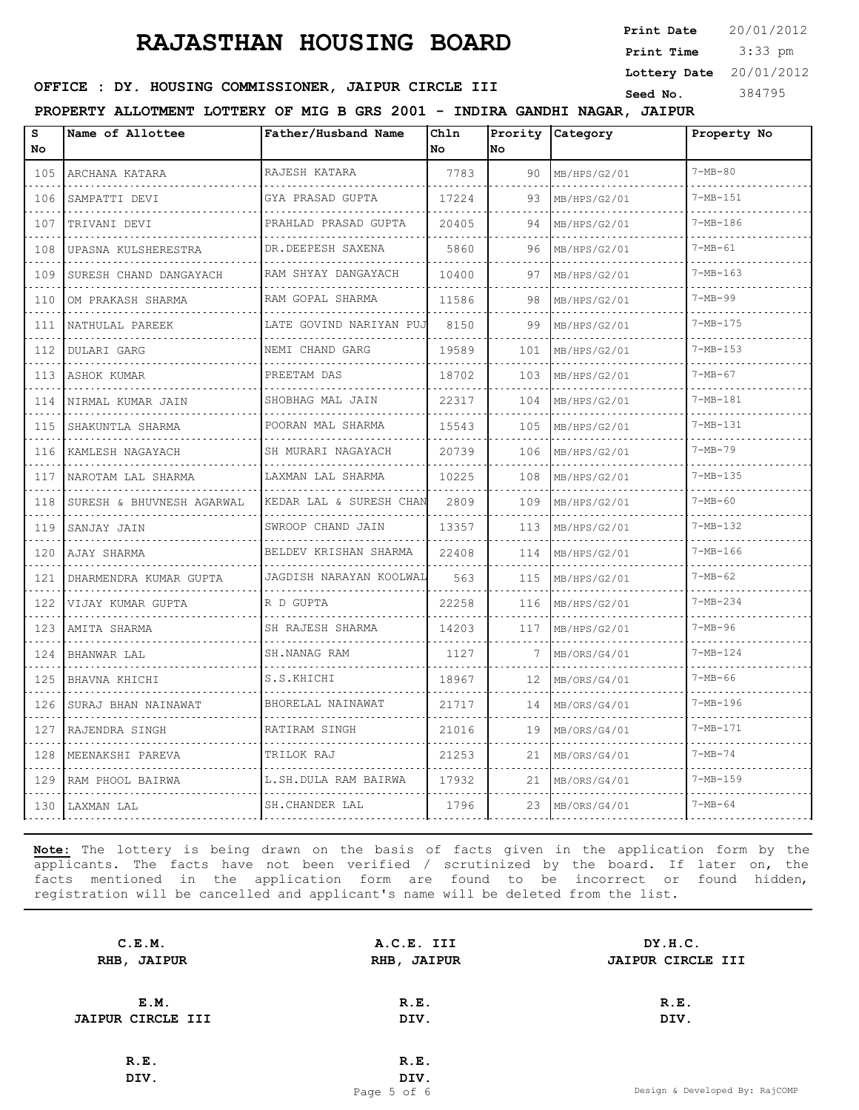3:33 pm **Print Date**  $20/01/2012$ **Print Time Lottery Date** 20/01/2012

### **SEED AND SEED III SEED ASSESSED ASSESSED AT A LOCAL COMMISSIONER, JAIPUR CIRCLE III** Seed No. 384795

**PROPERTY ALLOTMENT LOTTERY OF MIG B GRS 2001 - INDIRA GANDHI NAGAR, JAIPUR**

| S<br>No.                    | Name of Allottee          | Father/Husband Name          | Chln<br>No | Prority<br><b>No</b> | Category     | Property No    |
|-----------------------------|---------------------------|------------------------------|------------|----------------------|--------------|----------------|
| 105                         | ARCHANA KATARA            | RAJESH KATARA                | 7783       | 90                   | MB/HPS/G2/01 | $7 - MB - 80$  |
| 106                         | SAMPATTI DEVI             | GYA PRASAD GUPTA             | 17224      | 93                   | MB/HPS/G2/01 | $7 - MB - 151$ |
| .<br>107                    | TRIVANI DEVI              | PRAHLAD PRASAD GUPTA         | 20405      | 94                   | MB/HPS/G2/01 | $7 - MB - 186$ |
| 108                         | UPASNA KULSHERESTRA       | DR.DEEPESH SAXENA            | 5860       | 96                   | MB/HPS/G2/01 | $7 - MB - 61$  |
| .<br>109                    | SURESH CHAND DANGAYACH    | RAM SHYAY DANGAYACH          | 10400      | 97                   | MB/HPS/G2/01 | $7 - MB - 163$ |
| 110                         | OM PRAKASH SHARMA         | RAM GOPAL SHARMA             | 11586      | 98                   | MB/HPS/G2/01 | $7 - MB - 99$  |
| 111                         | NATHULAL PAREEK           | LATE GOVIND NARIYAN PUJ      | 8150       | 99                   | MB/HPS/G2/01 | $7 - MB - 175$ |
| 112                         | DULARI GARG               | NEMI CHAND GARG<br>.         | 19589      | 101                  | MB/HPS/G2/01 | $7-MB-153$     |
| 113                         | ASHOK KUMAR               | PREETAM DAS                  | 18702      | 103                  | MB/HPS/G2/01 | $7 - MB - 67$  |
| 114                         | NIRMAL KUMAR JAIN         | SHOBHAG MAL JAIN             | 22317      | 104                  | MB/HPS/G2/01 | $7 - MB - 181$ |
| $\sim$ $\sim$ $\sim$<br>115 | SHAKUNTLA SHARMA          | POORAN MAL SHARMA            | 15543      | 105                  | MB/HPS/G2/01 | $7 - MB - 131$ |
| 116                         | KAMLESH NAGAYACH          | SH MURARI NAGAYACH           | 20739      | 106                  | MB/HPS/G2/01 | $7 - MB - 79$  |
| 117                         | NAROTAM LAL SHARMA        | LAXMAN LAL SHARMA            | 10225      | 108                  | MB/HPS/G2/01 | $7 - MB - 135$ |
| .<br>118                    | SURESH & BHUVNESH AGARWAL | .<br>KEDAR LAL & SURESH CHAN | 2809       | 109                  | MB/HPS/G2/01 | $7 - MB - 60$  |
| 119                         | SANJAY JAIN               | SWROOP CHAND JAIN            | 13357      | 113                  | MB/HPS/G2/01 | $7 - MB - 132$ |
| 120                         | AJAY SHARMA               | BELDEV KRISHAN SHARMA        | 22408      | 114                  | MB/HPS/G2/01 | $7 - MB - 166$ |
| .<br>121                    | DHARMENDRA KUMAR GUPTA    | JAGDISH NARAYAN KOOLWAL      | 563        | 115                  | MB/HPS/G2/01 | $7 - MB - 62$  |
| 122                         | VIJAY KUMAR GUPTA         | R D GUPTA                    | 22258      | 116                  | MB/HPS/G2/01 | $7 - MB - 234$ |
| 123                         | AMITA SHARMA              | SH RAJESH SHARMA             | 14203      | 117                  | MB/HPS/G2/01 | $7 - MB - 96$  |
| .<br>124                    | BHANWAR LAL               | SH.NANAG RAM                 | 1127       | 7                    | MB/ORS/G4/01 | $7 - MB - 124$ |
| 125                         | BHAVNA KHICHI             | S.S.KHICHI                   | 18967      | 12                   | MB/ORS/G4/01 | $7 - MB - 66$  |
| 126                         | SURAJ BHAN NAINAWAT       | BHORELAL NAINAWAT            | 21717      | 14                   | MB/ORS/G4/01 | $7 - MB - 196$ |
| الدائد الدار<br>127         | RAJENDRA SINGH            | RATIRAM SINGH                | 21016      | 19                   | MB/ORS/G4/01 | $7 - MB - 171$ |
| 128                         | MEENAKSHI PAREVA          | TRILOK RAJ                   | 21253      | 21                   | MB/ORS/G4/01 | $7 - MB - 74$  |
| 129                         | RAM PHOOL BAIRWA          | L.SH.DULA RAM BAIRWA         | 17932      | 21                   | MB/ORS/G4/01 | $7 - MB - 159$ |
| 130                         | LAXMAN LAL                | SH. CHANDER LAL              | 1796       | 23                   | MB/ORS/G4/01 | $7 - MB - 64$  |

| C.E.M.<br>RHB, JAIPUR    | A.C.E. III<br>RHB, JAIPUR | DY.H.C.<br>JAIPUR CIRCLE III |
|--------------------------|---------------------------|------------------------------|
| E.M.                     | R.E.                      | R.E.                         |
| <b>JAIPUR CIRCLE III</b> | DIV.                      | DIV.                         |
| R.E.                     | R.E.                      |                              |
| DIV.                     | DIV.                      |                              |
|                          |                           |                              |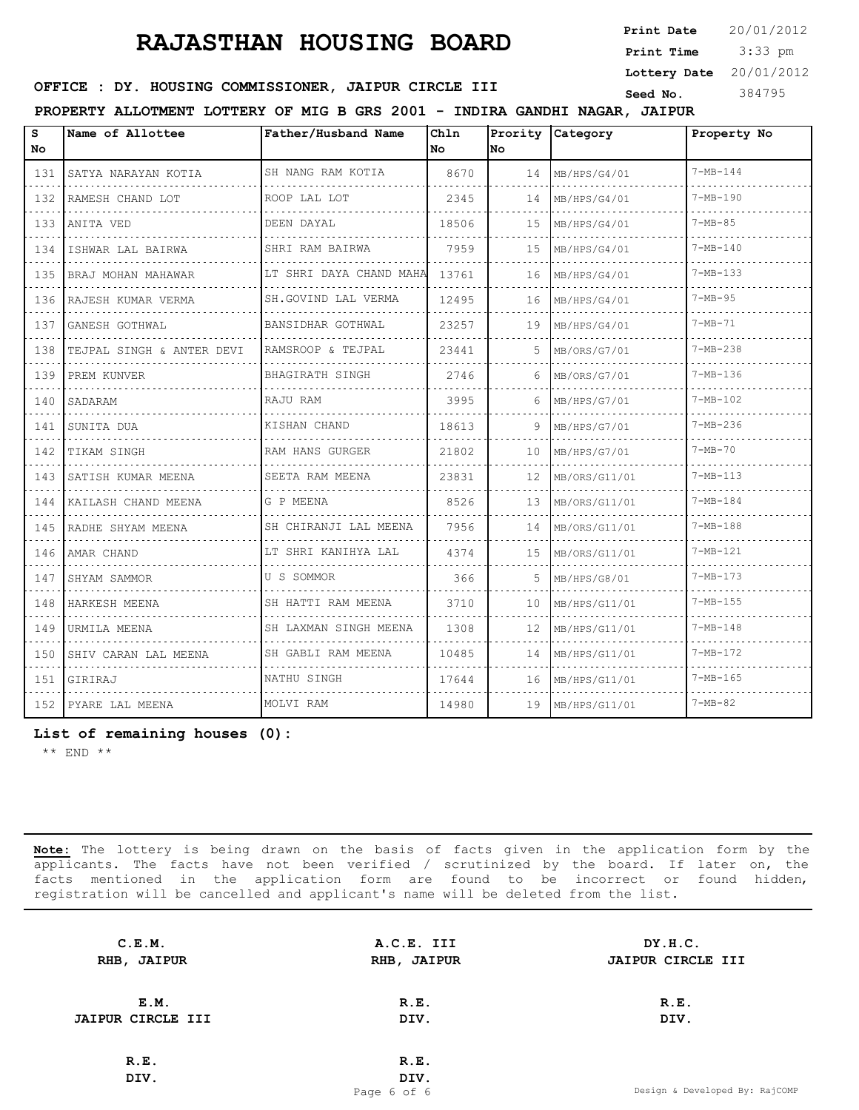3:33 pm **Print Date Print Time Lottery Date** 20/01/2012

#### **SEED AND SEED III SEED ASSESSED ASSESSED AT A LOCAL COMMISSIONER, JAIPUR CIRCLE III** Seed No. 384795

**PROPERTY ALLOTMENT LOTTERY OF MIG B GRS 2001 - INDIRA GANDHI NAGAR, JAIPUR**

| s<br>No. | Name of Allottee          | Father/Husband Name     | Ch1n<br>No | No | Prority Category | Property No    |
|----------|---------------------------|-------------------------|------------|----|------------------|----------------|
| 131      | SATYA NARAYAN KOTIA       | SH NANG RAM KOTIA       | 8670       | 14 | MB/HPS/G4/01     | $7 - MB - 144$ |
| 132      | RAMESH CHAND LOT          | ROOP LAL LOT            | 2345       | 14 | MB/HPS/G4/01     | $7 - MB - 190$ |
| 133      | ANITA VED                 | DEEN DAYAL              | 18506      | 15 | MB/HPS/G4/01     | $7 - MP - 85$  |
| 134      | ISHWAR LAL BAIRWA         | SHRI RAM BAIRWA         | 7959       | 15 | MB/HPS/G4/01     | $7 - MB - 140$ |
| 135      | BRAJ MOHAN MAHAWAR        | LT SHRI DAYA CHAND MAHA | 13761      | 16 | MB/HPS/G4/01     | $7 - MB - 133$ |
| 136      | RAJESH KUMAR VERMA        | SH.GOVIND LAL VERMA     | 12495      | 16 | MB/HPS/G4/01     | $7 - MB - 95$  |
| 137      | GANESH GOTHWAL            | BANSIDHAR GOTHWAL       | 23257      | 19 | MB/HPS/G4/01     | $7 - MB - 71$  |
| 138      | TEJPAL SINGH & ANTER DEVI | RAMSROOP & TEJPAL       | 23441      | 5  | MB/ORS/G7/01     | $7-MB-238$     |
| 139      | PREM KUNVER               | BHAGIRATH SINGH         | 2746       | 6  | MB/ORS/G7/01     | $7 - MB - 136$ |
| 140      | SADARAM                   | RAJU RAM                | 3995       | 6  | MB/HPS/G7/01     | $7 - MB - 102$ |
| 141      | SUNITA DUA                | KISHAN CHAND            | 18613      |    | MB/HPS/G7/01     | $7 - MB - 236$ |
| 142      | TIKAM SINGH               | RAM HANS GURGER         | 21802      | 10 | MB/HPS/G7/01     | $7 - MB - 70$  |
| 143      | SATISH KUMAR MEENA        | SEETA RAM MEENA         | 23831      | 12 | MB/ORS/G11/01    | $7 - MB - 113$ |
| 144      | KAILASH CHAND MEENA       | G P MEENA               | 8526       | 13 | MB/ORS/G11/01    | $7 - MB - 184$ |
| 145      | RADHE SHYAM MEENA         | SH CHIRANJI LAL MEENA   | 7956       | 14 | MB/ORS/G11/01    | $7 - MB - 188$ |
| 146      | AMAR CHAND                | LT SHRI KANIHYA LAL     | 4374       | 15 | MB/ORS/G11/01    | $7 - MB - 121$ |
| 147      | SHYAM SAMMOR              | U S SOMMOR              | 366        | 5. | MB/HPS/G8/01     | $7 - MB - 173$ |
| 148      | HARKESH MEENA             | SH HATTI RAM MEENA      | 3710       | 10 | MB/HPS/G11/01    | $7 - MB - 155$ |
| 149      | URMILA MEENA              | SH LAXMAN SINGH MEENA   | 1308       | 12 | MB/HPS/G11/01    | $7 - MB - 148$ |
| 150      | SHIV CARAN LAL MEENA      | SH GABLI RAM MEENA      | 10485      | 14 | MB/HPS/G11/01    | $7 - MB - 172$ |
| 151      | GIRIRAJ                   | NATHU SINGH             | 17644      | 16 | MB/HPS/G11/01    | $7 - MB - 165$ |
|          | 152 PYARE LAL MEENA       | MOLVI RAM               | 14980      | 19 | MB/HPS/G11/01    | $7 - MB - 82$  |

#### **List of remaining houses (0):**

\*\* END \*\*

| C.E.M.                   | A.C.E. III  | DY.H.C.                        |
|--------------------------|-------------|--------------------------------|
|                          |             |                                |
| RHB, JAIPUR              | RHB, JAIPUR | JAIPUR CIRCLE III              |
|                          |             |                                |
| E.M.                     | R.E.        | R.E.                           |
| <b>JAIPUR CIRCLE III</b> | DIV.        | DIV.                           |
|                          |             |                                |
| R.E.                     | R.E.        |                                |
|                          |             |                                |
| DIV.                     | DIV.        |                                |
|                          | Page 6 of 6 | Design & Developed By: RajCOMP |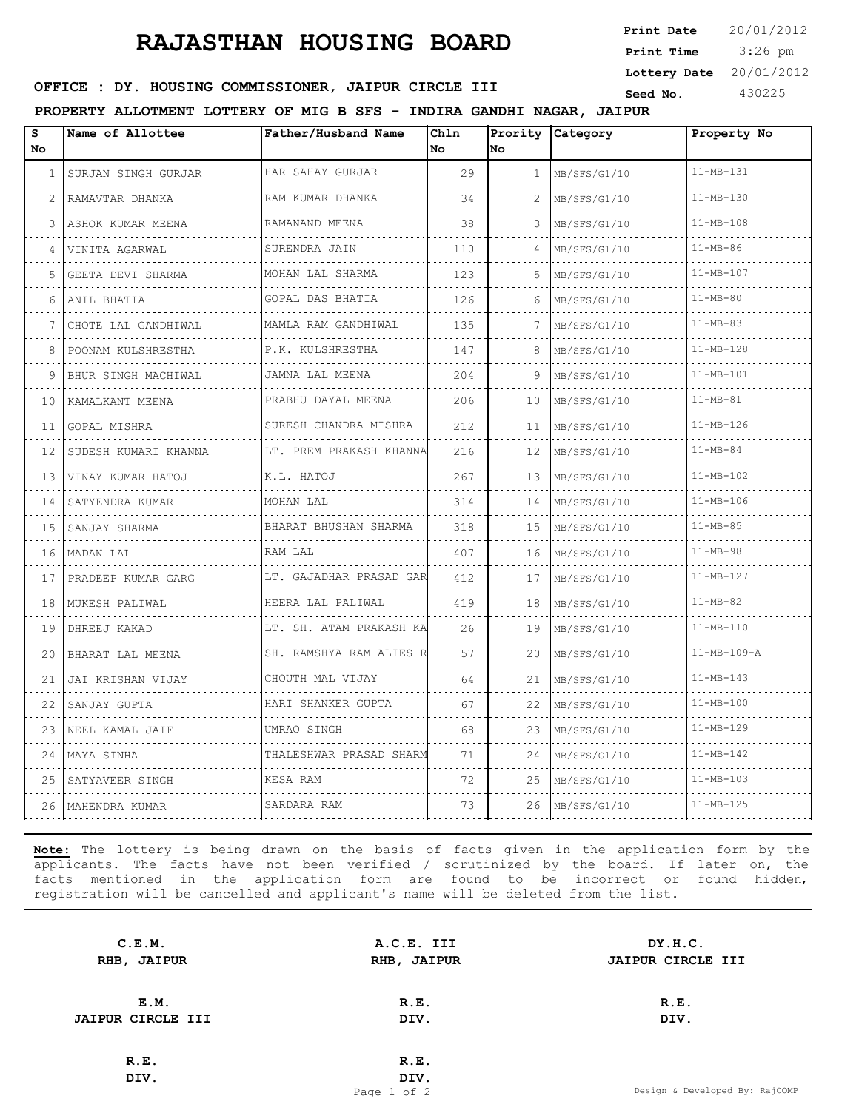3:26 pm **Print Date**  $20/01/2012$ **Print Time Lottery Date** 20/01/2012

### **SEED AND SEED III SEED ASSESS IN SEED ASSESSED ASSESS** OF FILE Seed No. 430225

**PROPERTY ALLOTMENT LOTTERY OF MIG B SFS - INDIRA GANDHI NAGAR, JAIPUR**

| s<br>No.          | Name of Allottee        | Father/Husband Name          | Chln<br>No | Prority<br>lno. | Category          | Property No         |
|-------------------|-------------------------|------------------------------|------------|-----------------|-------------------|---------------------|
| 1                 | SURJAN SINGH GURJAR     | HAR SAHAY GURJAR<br>.        | 29         | 1               | MB/SFS/G1/10<br>. | $11 - MB - 131$     |
| 2                 | RAMAVTAR DHANKA<br>.    | RAM KUMAR DHANKA<br>.        | 34         | 2               | MB/SFS/G1/10      | $11 - MB - 130$     |
| 3                 | ASHOK KUMAR MEENA       | RAMANAND MEENA               | 38         | 3               | MB/SFS/G1/10      | $11 - MB - 108$     |
| 4                 | VINITA AGARWAL<br>.     | SURENDRA JAIN<br>.           | 110        | 4               | MB/SFS/G1/10      | $11 - MB - 86$      |
| 5                 | GEETA DEVI SHARMA       | MOHAN LAL SHARMA<br><u>.</u> | 123        | 5               | MB/SFS/G1/10      | $11 - MB - 107$     |
| 6                 | ANIL BHATIA             | GOPAL DAS BHATIA             | 126        | 6               | MB/SFS/G1/10      | $11 - MB - 80$      |
| 7                 | CHOTE LAL GANDHIWAL     | MAMLA RAM GANDHIWAL<br>.     | 135        | 7               | MB/SFS/G1/10      | $11 - MB - 83$      |
| 8                 | POONAM KULSHRESTHA<br>. | P.K. KULSHRESTHA<br>.        | 147        | 8               | MB/SFS/G1/10      | $11 - MB - 128$     |
| 9                 | BHUR SINGH MACHIWAL     | JAMNA LAL MEENA              | 204        | 9               | MB/SFS/G1/10      | $11 - MB - 101$     |
| 10                | KAMALKANT MEENA         | PRABHU DAYAL MEENA<br>.      | 206        | 10              | MB/SFS/G1/10      | $11 - MB - 81$      |
| 11                | GOPAL MISHRA            | SURESH CHANDRA MISHRA<br>.   | 212        | 11              | MB/SFS/G1/10      | $11 - MB - 126$     |
| $12 \overline{ }$ | SUDESH KUMARI KHANNA    | LT. PREM PRAKASH KHANNA      | 216        | 12              | MB/SFS/G1/10      | $11 - MB - 84$      |
| 13                | VINAY KUMAR HATOJ       | K.L. HATOJ                   | 267        | 13              | MB/SFS/G1/10      | $11 - MB - 102$     |
| 14                | SATYENDRA KUMAR         | MOHAN LAL                    | 314        | 14              | MB/SFS/G1/10      | $11 - MB - 106$     |
| 15                | SANJAY SHARMA           | BHARAT BHUSHAN SHARMA        | 318        | 15              | MB/SFS/G1/10      | $11 - MB - 85$      |
| 16                | MADAN LAL               | RAM LAL                      | 407        | 16              | MB/SFS/G1/10      | $11 - MB - 98$      |
| 17                | PRADEEP KUMAR GARG      | LT. GAJADHAR PRASAD GAR      | 412        | 17              | MB/SFS/G1/10      | $11 - MB - 127$     |
| 18                | MUKESH PALIWAL          | .<br>HEERA LAL PALIWAL       | 419        | 18              | MB/SFS/G1/10      | $11 - MB - 82$      |
| 19                | DHREEJ KAKAD            | LT. SH. ATAM PRAKASH KA      | 26         | 19              | MB/SFS/G1/10      | $11 - MB - 110$     |
| 20                | BHARAT LAL MEENA        | SH. RAMSHYA RAM ALIES R<br>. | 57         | 20              | MB/SFS/G1/10      | $11 - MB - 109 - A$ |
| 21                | JAI KRISHAN VIJAY       | CHOUTH MAL VIJAY             | 64         | 21              | MB/SFS/G1/10      | $11 - MB - 143$     |
| 22                | SANJAY GUPTA            | HARI SHANKER GUPTA           | 67         | 22              | MB/SFS/G1/10      | $11 - MB - 100$     |
| 23                | NEEL KAMAL JAIF         | UMRAO SINGH                  | 68         | 23              | MB/SFS/G1/10      | $11 - MB - 129$     |
| 24                | MAYA SINHA              | THALESHWAR PRASAD SHARM      | 71         | 24              | MB/SFS/G1/10      | $11 - MB - 142$     |
| 25                | SATYAVEER SINGH         | KESA RAM                     | 72         | 25              | MB/SFS/G1/10      | $11 - MB - 103$     |
| 26                | MAHENDRA KUMAR          | SARDARA RAM                  | 73         | 26              | MB/SFS/G1/10      | $11 - MB - 125$     |

**Note:** The lottery is being drawn on the basis of facts given in the application form by the applicants. The facts have not been verified / scrutinized by the board. If later on, the facts mentioned in the application form are found to be incorrect or found hidden, registration will be cancelled and applicant's name will be deleted from the list.

|      | <b>JAIPUR CIRCLE III</b>    |
|------|-----------------------------|
| R.E. | R.E.                        |
| DIV. | DIV.                        |
|      |                             |
|      |                             |
|      | RHB, JAIPUR<br>R.E.<br>DIV. |

Page 1 of 2 Design & Developed By: RajCOMP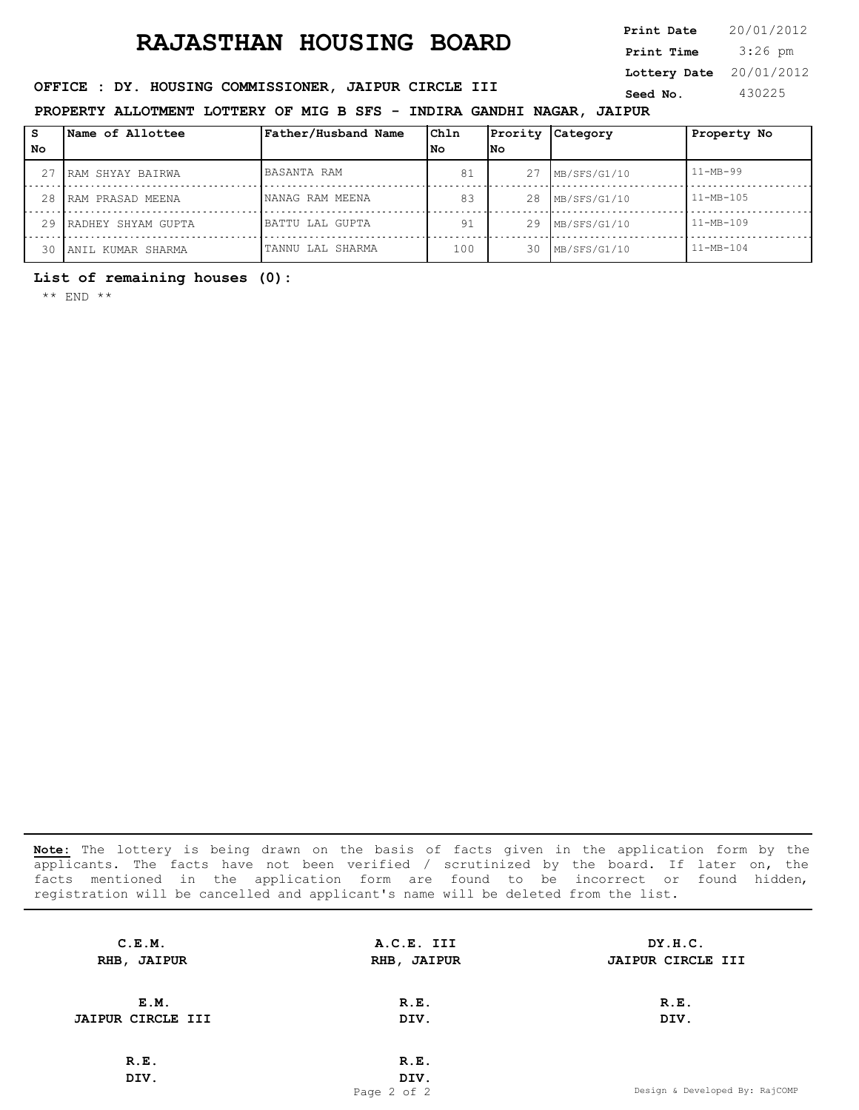3:26 pm **Print Date**  $20/01/2012$ **Print Time Lottery Date** 20/01/2012

### **OFFICE : DY. HOUSING COMMISSIONER, JAIPUR CIRCLE III** Seed No. 430225

**PROPERTY ALLOTMENT LOTTERY OF MIG B SFS - INDIRA GANDHI NAGAR, JAIPUR**

| - S | <b>Name of Allottee</b> | Father/Husband Name | Chln | Prority    | Category                    | Property No     |
|-----|-------------------------|---------------------|------|------------|-----------------------------|-----------------|
| No  |                         |                     | lNo  | <b>INo</b> |                             |                 |
|     | RAM SHYAY BAIRWA        | BASANTA RAM         | 81   | 27         | MB/SFS/G1/10                | $11 - MB - 99$  |
| 28  | RAM PRASAD MEENA        | NANAG RAM MEENA     | 83   | 28         | MB/SFS/G1/10                | $11 - MB - 105$ |
| 29  | RADHEY SHYAM GUPTA      | BATTU LAL GUPTA     | 91   | 29         | $M\rightarrow$ MB/SFS/G1/10 | $11 - MB - 109$ |
| 30  | ANIL KUMAR SHARMA       | TANNU LAL SHARMA    | 100  | 30         | MB/SFS/G1/10                | $11 - MB - 104$ |

**List of remaining houses (0):** 

\*\* END \*\*

| C.E.M.                   | A.C.E. III  | DY.H.C.                        |
|--------------------------|-------------|--------------------------------|
| RHB, JAIPUR              | RHB, JAIPUR | JAIPUR CIRCLE III              |
|                          |             |                                |
| E.M.                     | R.E.        | R.E.                           |
| <b>JAIPUR CIRCLE III</b> | DIV.        | DIV.                           |
|                          |             |                                |
| R.E.                     | R.E.        |                                |
| DIV.                     | DIV.        |                                |
|                          | Page 2 of 2 | Design & Developed By: RajCOMP |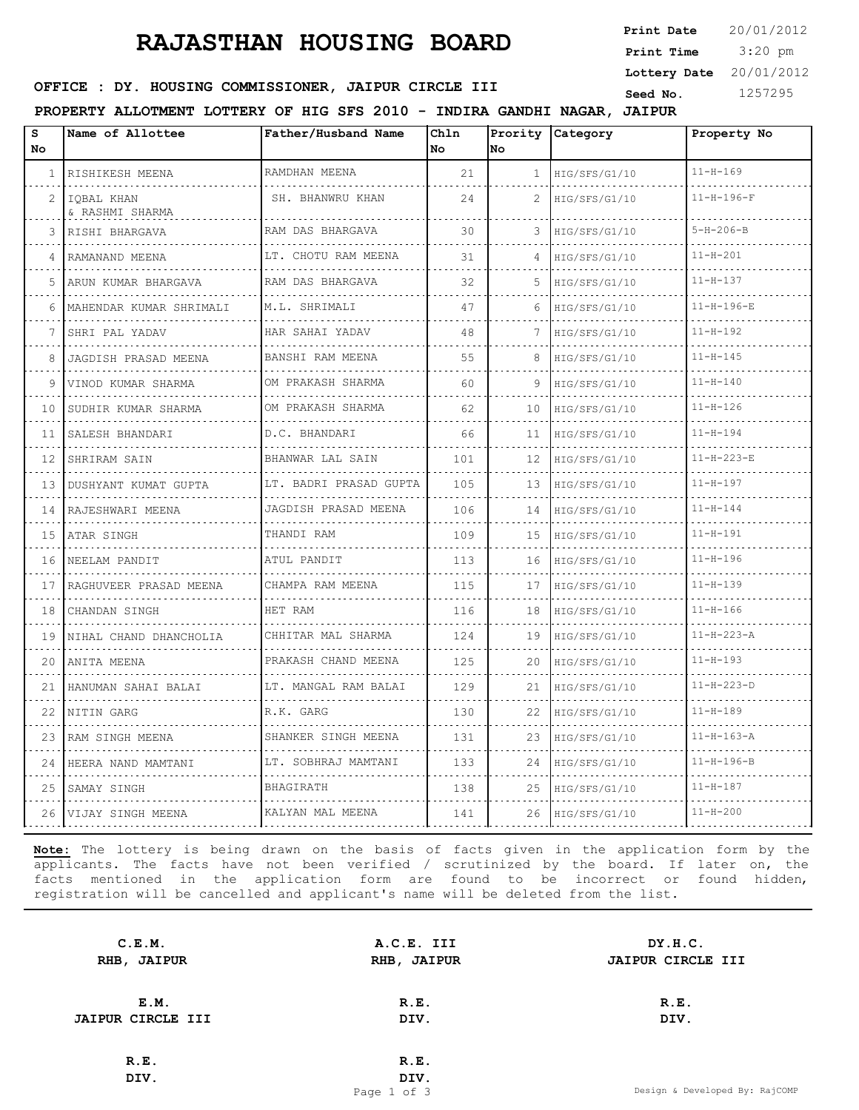3:20 pm **Print Date**  $20/01/2012$ **Print Time Lottery Date** 20/01/2012

### **SEED : DY. HOUSING COMMISSIONER, JAIPUR CIRCLE III** Seed No. 1257295

**PROPERTY ALLOTMENT LOTTERY OF HIG SFS 2010 - INDIRA GANDHI NAGAR, JAIPUR**

| s<br><b>No</b> | Name of Allottee              | Father/Husband Name           | Ch1n<br>No. | No              | Prority Category   | Property No        |
|----------------|-------------------------------|-------------------------------|-------------|-----------------|--------------------|--------------------|
| $\mathbf{1}$   | RISHIKESH MEENA               | RAMDHAN MEENA<br>.            | 21          | $\mathbf{1}$    | HIG/SFS/G1/10      | $11 - H - 169$     |
| 2              | IQBAL KHAN<br>& RASHMI SHARMA | SH. BHANWRU KHAN              | 24          | 2               | HIG/SFS/G1/10      | $11 - H - 196 - F$ |
| 3              | RISHI BHARGAVA                | RAM DAS BHARGAVA              | 30          | 3.              | HIG/SFS/G1/10      | $5-H-206-B$        |
| 4              | RAMANAND MEENA                | LT. CHOTU RAM MEENA           | 31          | 4               | HIG/SFS/G1/10      | $11 - H - 201$     |
| 5              | ARUN KUMAR BHARGAVA           | RAM DAS BHARGAVA<br>.         | 32          | 5               | HIG/SFS/G1/10      | $11 - H - 137$     |
| 6              | MAHENDAR KUMAR SHRIMALI       | M.L. SHRIMALI<br>.            | 47          | 6               | HIG/SFS/G1/10<br>. | $11 - H - 196 - E$ |
| 7              | SHRI PAL YADAV                | HAR SAHAI YADAV<br>.          | 48          |                 | HIG/SFS/G1/10      | $11 - H - 192$     |
| 8              | JAGDISH PRASAD MEENA          | BANSHI RAM MEENA              | 55          | 8               | HIG/SFS/G1/10      | $11 - H - 145$     |
| 9              | VINOD KUMAR SHARMA            | OM PRAKASH SHARMA<br><u>.</u> | 60          | 9               | HIG/SFS/G1/10      | $11 - H - 140$     |
| 10             | SUDHIR KUMAR SHARMA           | OM PRAKASH SHARMA<br>.        | 62          | 10 <sup>°</sup> | HIG/SFS/G1/10      | $11 - H - 126$     |
| 11             | SALESH BHANDARI               | D.C. BHANDARI                 | 66          | 11              | HIG/SFS/G1/10      | $11 - H - 194$     |
| 12             | SHRIRAM SAIN<br>.             | BHANWAR LAL SAIN              | 101         | 12              | HIG/SFS/G1/10      | $11 - H - 223 - E$ |
| 13             | DUSHYANT KUMAT GUPTA          | LT. BADRI PRASAD GUPTA<br>.   | 105         | 13              | HIG/SFS/G1/10      | $11 - H - 197$     |
| 14             | RAJESHWARI MEENA              | JAGDISH PRASAD MEENA          | 106         | 14              | HIG/SFS/G1/10      | $11 - H - 144$     |
| 15             | ATAR SINGH<br>.               | THANDI RAM                    | 109         | 15              | HIG/SFS/G1/10      | $11 - H - 191$     |
| 16             | NEELAM PANDIT                 | ATUL PANDIT                   | 113         | 16              | HIG/SFS/G1/10      | $11 - H - 196$     |
| 17             | RAGHUVEER PRASAD MEENA        | CHAMPA RAM MEENA              | 115         | 17              | HIG/SFS/G1/10      | $11 - H - 139$     |
| 18             | CHANDAN SINGH                 | HET RAM                       | 116         | 18              | HIG/SFS/G1/10      | $11 - H - 166$     |
| 19             | NIHAL CHAND DHANCHOLIA        | CHHITAR MAL SHARMA<br>.       | 124         | 19              | HIG/SFS/G1/10      | $11 - H - 223 - A$ |
| 20             | ANITA MEENA                   | PRAKASH CHAND MEENA           | 125         | 20              | HIG/SFS/G1/10      | $11 - H - 193$     |
| 21             | HANUMAN SAHAI BALAI           | LT. MANGAL RAM BALAI          | 129         | 21              | HIG/SFS/G1/10      | $11-H-223-D$       |
| 22             | NITIN GARG                    | R.K. GARG                     | 130         | 22              | HIG/SFS/G1/10      | $11 - H - 189$     |
| 23             | RAM SINGH MEENA               | SHANKER SINGH MEENA           | 131         | 23              | HIG/SFS/G1/10      | $11 - H - 163 - A$ |
| 24             | HEERA NAND MAMTANI            | LT. SOBHRAJ MAMTANI           | 133         | 24              | HIG/SFS/G1/10      | $11 - H - 196 - B$ |
| 25             | SAMAY SINGH                   | BHAGIRATH                     | 138         | 25              | HIG/SFS/G1/10      | $11 - H - 187$     |
| 26             | VIJAY SINGH MEENA             | KALYAN MAL MEENA              | 141         | 26              | HIG/SFS/G1/10      | $11 - H - 200$     |

**Note:** The lottery is being drawn on the basis of facts given in the application form by the applicants. The facts have not been verified / scrutinized by the board. If later on, the facts mentioned in the application form are found to be incorrect or found hidden, registration will be cancelled and applicant's name will be deleted from the list.

| C.E.M.<br>RHB, JAIPUR    | A.C.E. III<br>RHB, JAIPUR | DY.H.C.<br>JAIPUR CIRCLE III |
|--------------------------|---------------------------|------------------------------|
| E.M.                     | R.E.                      | R.E.                         |
| <b>JAIPUR CIRCLE III</b> | DIV.                      | DIV.                         |
| R.E.                     | R.E.                      |                              |
|                          |                           |                              |
| DIV.                     | DIV.                      |                              |

Page 1 of 3 Design & Developed By: RajCOMP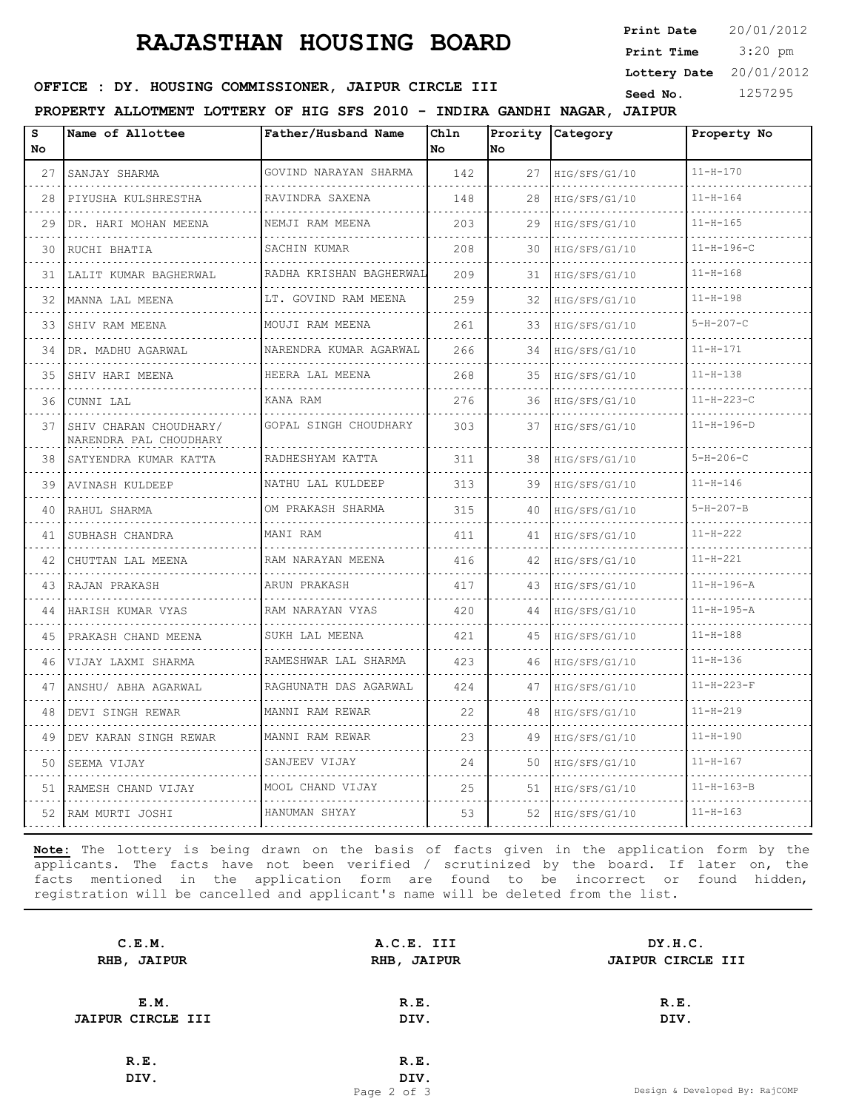3:20 pm **Print Date**  $20/01/2012$ **Print Time Lottery Date** 20/01/2012

### **SEED : DY. HOUSING COMMISSIONER, JAIPUR CIRCLE III** Seed No. 1257295

**PROPERTY ALLOTMENT LOTTERY OF HIG SFS 2010 - INDIRA GANDHI NAGAR, JAIPUR**

| s<br>No | Name of Allottee                                 | Father/Husband Name         | Chln<br>No | Prority<br>lno. | Category           | Property No        |
|---------|--------------------------------------------------|-----------------------------|------------|-----------------|--------------------|--------------------|
| 27      | SANJAY SHARMA                                    | GOVIND NARAYAN SHARMA       | 142        | 27              | HIG/SFS/G1/10<br>. | $11 - H - 170$     |
| 28      | PIYUSHA KULSHRESTHA<br>.                         | RAVINDRA SAXENA             | 148        | 28              | HIG/SFS/G1/10      | $11 - H - 164$     |
| 29      | DR. HARI MOHAN MEENA                             | NEMJI RAM MEENA             | 203        | 29              | HIG/SFS/G1/10      | $11 - H - 165$     |
| 30      | RUCHI BHATIA                                     | SACHIN KUMAR                | 208        | 30              | HIG/SFS/G1/10<br>. | $11 - H - 196 - C$ |
| 31      | LALIT KUMAR BAGHERWAL                            | RADHA KRISHAN BAGHERWAL     | 209        | 31              | HIG/SFS/G1/10      | $11 - H - 168$     |
| 32      | MANNA LAL MEENA<br>.                             | LT. GOVIND RAM MEENA        | 259        | 32              | HIG/SFS/G1/10      | $11 - H - 198$     |
| 33      | SHIV RAM MEENA                                   | MOUJI RAM MEENA<br>.        | 261        | 33              | HIG/SFS/G1/10      | $5 - H - 207 - C$  |
| 34      | DR. MADHU AGARWAL                                | NARENDRA KUMAR AGARWAL<br>. | 266        | 34              | HIG/SFS/G1/10      | $11 - H - 171$     |
| 35      | SHIV HARI MEENA                                  | HEERA LAL MEENA<br>.        | 268        | 35              | HIG/SFS/G1/10<br>. | $11 - H - 138$     |
| 36      | CUNNI LAL                                        | KANA RAM                    | 276        | 36              | HIG/SFS/G1/10      | $11 - H - 223 - C$ |
| 37      | SHIV CHARAN CHOUDHARY/<br>NARENDRA PAL CHOUDHARY | GOPAL SINGH CHOUDHARY       | 303        | 37              | HIG/SFS/G1/10      | $11 - H - 196 - D$ |
| 38      | SATYENDRA KUMAR KATTA                            | RADHESHYAM KATTA<br>.       | 311        | 38              | HIG/SFS/G1/10      | $5 - H - 206 - C$  |
| 39      | AVINASH KULDEEP                                  | NATHU LAL KULDEEP<br>.      | 313        | 39              | HIG/SFS/G1/10      | $11 - H - 146$     |
| 40      | RAHUL SHARMA                                     | OM PRAKASH SHARMA           | 315        | 40              | HIG/SFS/G1/10<br>. | $5-H-207-B$        |
| 41      | SUBHASH CHANDRA<br>.                             | MANI RAM                    | 411        | 41              | HIG/SFS/G1/10      | $11 - H - 222$     |
| 42      | CHUTTAN LAL MEENA                                | RAM NARAYAN MEENA           | 416        | 42              | HIG/SFS/G1/10      | $11 - H - 221$     |
| 43      | RAJAN PRAKASH<br>.                               | ARUN PRAKASH<br>.           | 417        | 43              | HIG/SFS/G1/10<br>. | $11 - H - 196 - A$ |
| 44      | HARISH KUMAR VYAS                                | RAM NARAYAN VYAS            | 420        | 44              | HIG/SFS/G1/10      | $11 - H - 195 - A$ |
| 45      | PRAKASH CHAND MEENA                              | SUKH LAL MEENA              | 421        | 45              | HIG/SFS/G1/10      | $11 - H - 188$     |
| 46      | VIJAY LAXMI SHARMA                               | RAMESHWAR LAL SHARMA        | 423        | 46              | HIG/SFS/G1/10<br>. | $11 - H - 136$     |
| 47      | ANSHU/ ABHA AGARWAL                              | RAGHUNATH DAS AGARWAL       | 424        | 47              | HIG/SFS/G1/10      | $11 - H - 223 - F$ |
| 48      | DEVI SINGH REWAR                                 | MANNI RAM REWAR             | 22         | 48              | HIG/SFS/G1/10      | $11 - H - 219$     |
| 49      | DEV KARAN SINGH REWAR                            | MANNI RAM REWAR             | 23         | 49              | HIG/SFS/G1/10      | $11 - H - 190$     |
| 50      | SEEMA VIJAY<br>.                                 | SANJEEV VIJAY<br>.          | 2.4        | 50              | HIG/SFS/G1/10      | $11 - H - 167$     |
| 51      | RAMESH CHAND VIJAY                               | MOOL CHAND VIJAY            | 25         | 51              | HIG/SFS/G1/10      | $11 - H - 163 - B$ |
|         | 52 RAM MURTI JOSHI                               | HANUMAN SHYAY               | 53         | 52              | HIG/SFS/G1/10      | $11 - H - 163$     |

| C.E.M.<br>RHB, JAIPUR    | A.C.E. III<br>RHB, JAIPUR | DY.H.C.<br>JAIPUR CIRCLE III |
|--------------------------|---------------------------|------------------------------|
| E.M.                     | R.E.                      | R.E.                         |
| <b>JAIPUR CIRCLE III</b> | DIV.                      | DIV.                         |
|                          |                           |                              |
| R.E.                     | R.E.                      |                              |
| DIV.                     | DIV.                      |                              |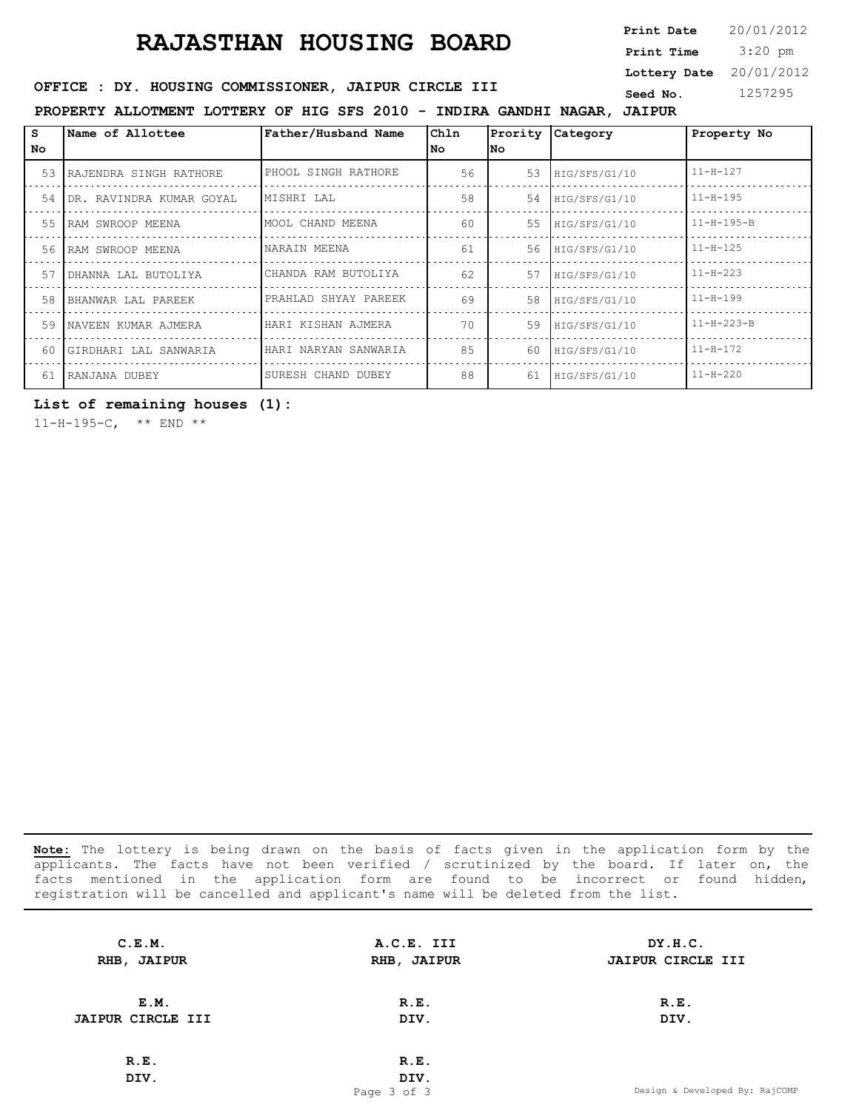3:20 pm **Print Date**  $20/01/2012$ **Print Time Lottery Date** 20/01/2012

#### **SEED AND SEED IN SEED ASSESS IN SEED ASSESSED ASSESS IN SEED ASSESSED FOR SEED ASSESSED ASSESSED ASSESSED ASSESSED ASSESSED ASSESSED ASSESSED ASSESSED ASSESSED ASSESSED ASSESSED ASSESSED ASSESSED ASSESSED ASSESSED ASSESSE**

**PROPERTY ALLOTMENT LOTTERY OF HIG SFS 2010 - INDIRA GANDHI NAGAR, JAIPUR**

| s  | <b>Name of Allottee</b>   | Father/Husband Name  | Chln | Prority | Category      | Property No        |
|----|---------------------------|----------------------|------|---------|---------------|--------------------|
| No |                           |                      | l No | lNo l   |               |                    |
| 53 | RAJENDRA SINGH RATHORE    | PHOOL SINGH RATHORE  | 56   | 53      | HIG/SFS/G1/10 | $11 - H - 127$     |
| 54 | IDR. RAVINDRA KUMAR GOYAL | MISHRI LAL           | 58   | 54      | HIG/SFS/G1/10 | $11 - H - 195$     |
| 55 | RAM SWROOP MEENA          | MOOL CHAND MEENA     | 60   | 55      | HIG/SFS/G1/10 | $11 - H - 195 - B$ |
| 56 | RAM SWROOP MEENA          | NARAIN MEENA         | 61   | 56      | HIG/SFS/G1/10 | $11 - H - 125$     |
| 57 | IDHANNA LAL BUTOLIYA      | CHANDA RAM BUTOLIYA  | 62   | 57      | HIG/SFS/G1/10 | $11 - H - 223$     |
| 58 | BHANWAR LAL PAREEK        | PRAHLAD SHYAY PAREEK | 69   | 58      | HIG/SFS/G1/10 | $11 - H - 199$     |
| 59 | INAVEEN KUMAR AJMERA      | HARI KISHAN AJMERA   | 70   | 59      | HIG/SFS/G1/10 | $11 - H - 223 - B$ |
| 60 | GIRDHARI LAL SANWARIA     | HARI NARYAN SANWARIA | 85   | 60      | HIG/SFS/G1/10 | $11 - H - 172$     |
| 61 | RANJANA DUBEY             | SURESH CHAND DUBEY   | 88   | 61      | HIG/SFS/G1/10 | $11 - H - 220$     |

#### **List of remaining houses (1):**

11-H-195-C, \*\* END \*\*

| C.E.M.                   | A.C.E. III  | DY.H.C.                        |
|--------------------------|-------------|--------------------------------|
| RHB, JAIPUR              | RHB, JAIPUR | JAIPUR CIRCLE III              |
|                          |             |                                |
| E.M.                     | R.E.        | R.E.                           |
| <b>JAIPUR CIRCLE III</b> | DIV.        | DIV.                           |
|                          |             |                                |
| R.E.                     | R.E.        |                                |
| DIV.                     | DIV.        |                                |
|                          | Page 3 of 3 | Design & Developed By: RajCOMP |